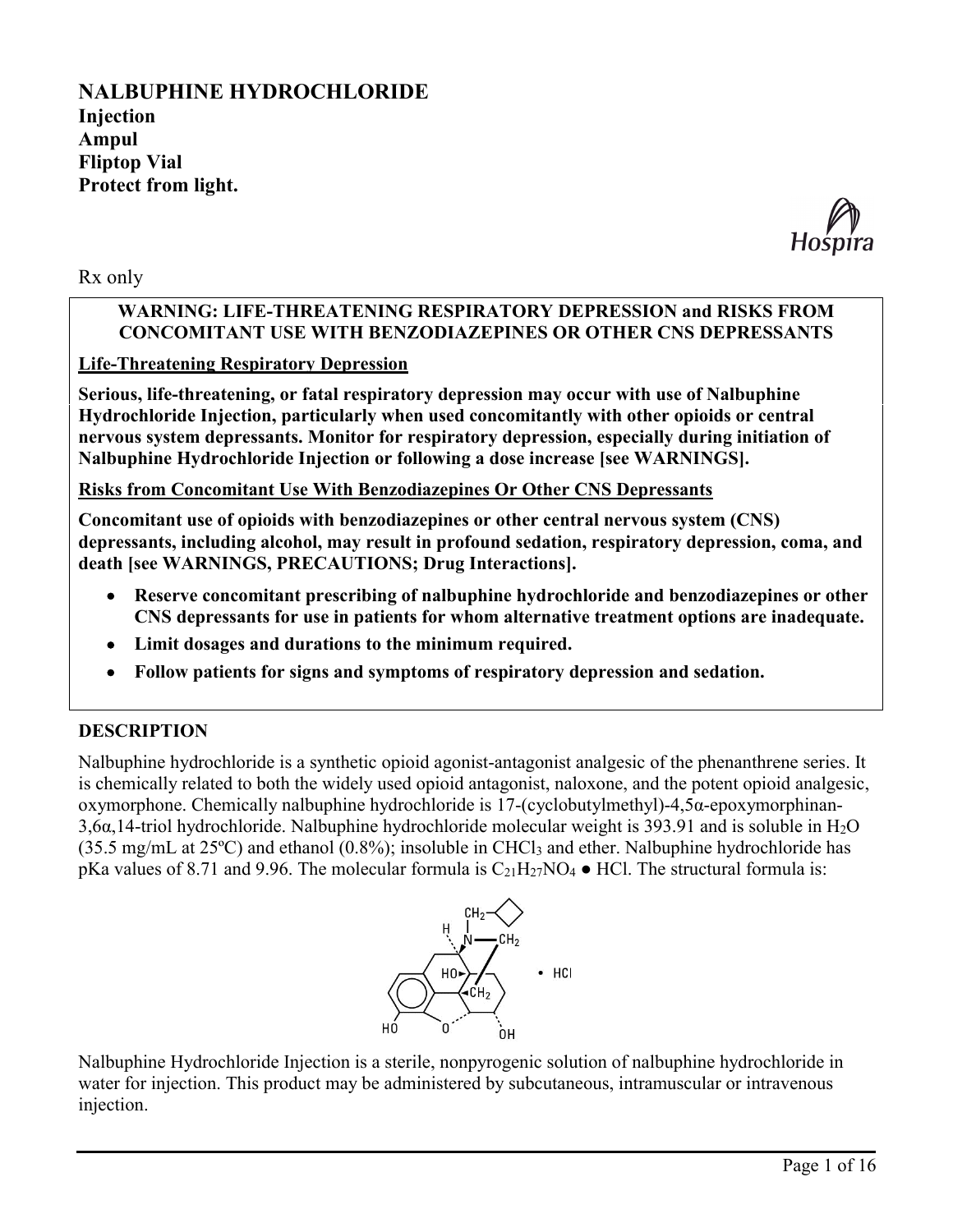# **NALBUPHINE HYDROCHLORIDE Injection Ampul Fliptop Vial Protect from light.**



Rx only

### **WARNING: LIFE-THREATENING RESPIRATORY DEPRESSION and RISKS FROM CONCOMITANT USE WITH BENZODIAZEPINES OR OTHER CNS DEPRESSANTS**

## **Life-Threatening Respiratory Depression**

**Serious, life-threatening, or fatal respiratory depression may occur with use of Nalbuphine Hydrochloride Injection, particularly when used concomitantly with other opioids or central nervous system depressants. Monitor for respiratory depression, especially during initiation of Nalbuphine Hydrochloride Injection or following a dose increase [see WARNINGS].**

**Risks from Concomitant Use With Benzodiazepines Or Other CNS Depressants**

**Concomitant use of opioids with benzodiazepines or other central nervous system (CNS) depressants, including alcohol, may result in profound sedation, respiratory depression, coma, and death [see WARNINGS, PRECAUTIONS; Drug Interactions].**

- **Reserve concomitant prescribing of nalbuphine hydrochloride and benzodiazepines or other CNS depressants for use in patients for whom alternative treatment options are inadequate.**
- **Limit dosages and durations to the minimum required.**
- **Follow patients for signs and symptoms of respiratory depression and sedation.**

### **DESCRIPTION**

Nalbuphine hydrochloride is a synthetic opioid agonist-antagonist analgesic of the phenanthrene series. It is chemically related to both the widely used opioid antagonist, naloxone, and the potent opioid analgesic, oxymorphone. Chemically nalbuphine hydrochloride is 17-(cyclobutylmethyl)-4,5α-epoxymorphinan- $3,6\alpha,14$ -triol hydrochloride. Nalbuphine hydrochloride molecular weight is 393.91 and is soluble in H<sub>2</sub>O (35.5 mg/mL at 25ºC) and ethanol (0.8%); insoluble in CHCl<sup>3</sup> and ether. Nalbuphine hydrochloride has pKa values of 8.71 and 9.96. The molecular formula is  $C_{21}H_{27}NO_4 \bullet HCl$ . The structural formula is:



Nalbuphine Hydrochloride Injection is a sterile, nonpyrogenic solution of nalbuphine hydrochloride in water for injection. This product may be administered by subcutaneous, intramuscular or intravenous injection.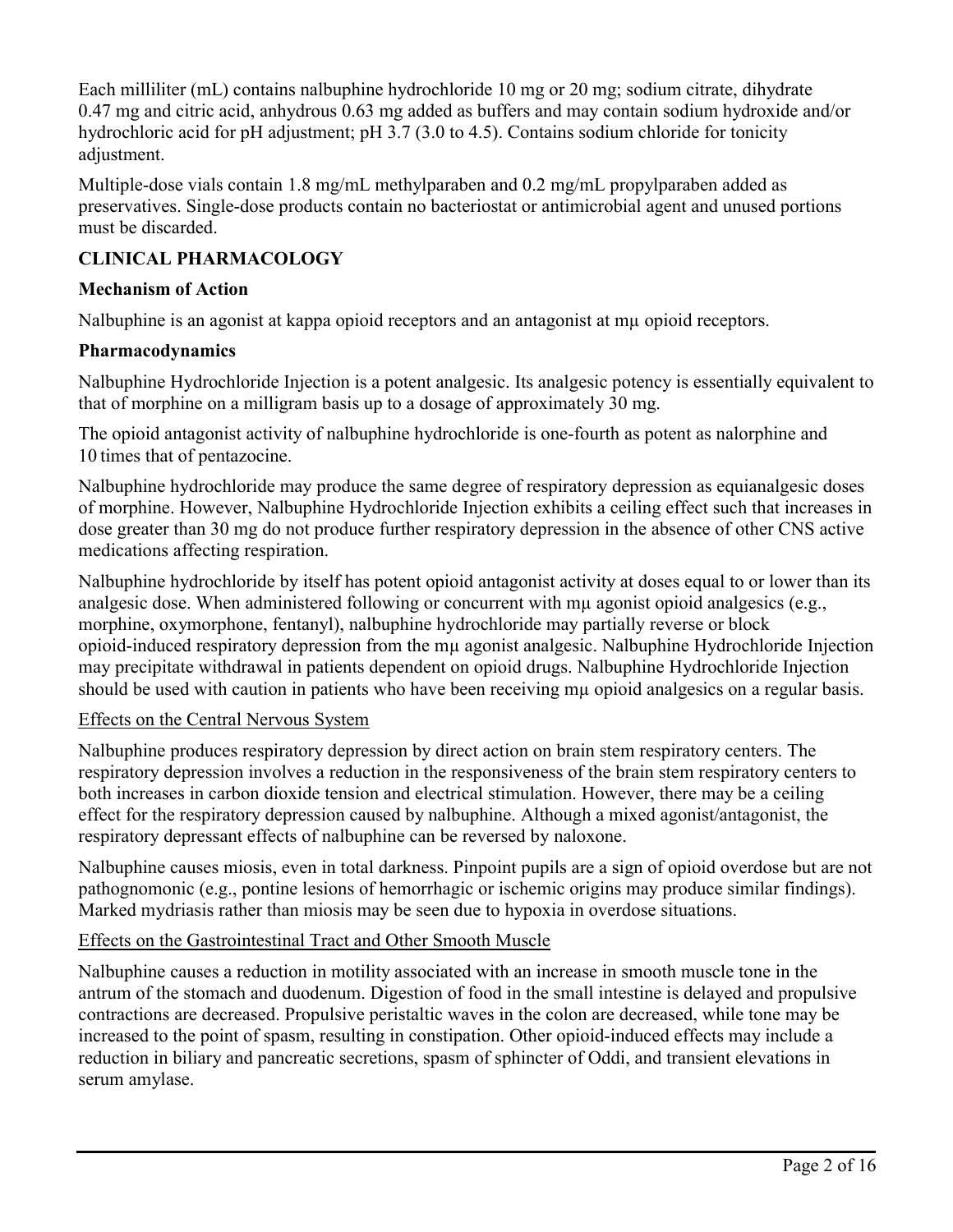Each milliliter (mL) contains nalbuphine hydrochloride 10 mg or 20 mg; sodium citrate, dihydrate 0.47 mg and citric acid, anhydrous 0.63 mg added as buffers and may contain sodium hydroxide and/or hydrochloric acid for pH adjustment; pH 3.7 (3.0 to 4.5). Contains sodium chloride for tonicity adjustment.

Multiple-dose vials contain 1.8 mg/mL methylparaben and 0.2 mg/mL propylparaben added as preservatives. Single-dose products contain no bacteriostat or antimicrobial agent and unused portions must be discarded.

# **CLINICAL PHARMACOLOGY**

## **Mechanism of Action**

Nalbuphine is an agonist at kappa opioid receptors and an antagonist at mu opioid receptors.

# **Pharmacodynamics**

Nalbuphine Hydrochloride Injection is a potent analgesic. Its analgesic potency is essentially equivalent to that of morphine on a milligram basis up to a dosage of approximately 30 mg.

The opioid antagonist activity of nalbuphine hydrochloride is one-fourth as potent as nalorphine and 10 times that of pentazocine.

Nalbuphine hydrochloride may produce the same degree of respiratory depression as equianalgesic doses of morphine. However, Nalbuphine Hydrochloride Injection exhibits a ceiling effect such that increases in dose greater than 30 mg do not produce further respiratory depression in the absence of other CNS active medications affecting respiration.

Nalbuphine hydrochloride by itself has potent opioid antagonist activity at doses equal to or lower than its analgesic dose. When administered following or concurrent with mu agonist opioid analgesics (e.g., morphine, oxymorphone, fentanyl), nalbuphine hydrochloride may partially reverse or block opioid-induced respiratory depression from the mµ agonist analgesic. Nalbuphine Hydrochloride Injection may precipitate withdrawal in patients dependent on opioid drugs. Nalbuphine Hydrochloride Injection should be used with caution in patients who have been receiving mu opioid analgesics on a regular basis.

### Effects on the Central Nervous System

Nalbuphine produces respiratory depression by direct action on brain stem respiratory centers. The respiratory depression involves a reduction in the responsiveness of the brain stem respiratory centers to both increases in carbon dioxide tension and electrical stimulation. However, there may be a ceiling effect for the respiratory depression caused by nalbuphine. Although a mixed agonist/antagonist, the respiratory depressant effects of nalbuphine can be reversed by naloxone.

Nalbuphine causes miosis, even in total darkness. Pinpoint pupils are a sign of opioid overdose but are not pathognomonic (e.g., pontine lesions of hemorrhagic or ischemic origins may produce similar findings). Marked mydriasis rather than miosis may be seen due to hypoxia in overdose situations.

# Effects on the Gastrointestinal Tract and Other Smooth Muscle

Nalbuphine causes a reduction in motility associated with an increase in smooth muscle tone in the antrum of the stomach and duodenum. Digestion of food in the small intestine is delayed and propulsive contractions are decreased. Propulsive peristaltic waves in the colon are decreased, while tone may be increased to the point of spasm, resulting in constipation. Other opioid-induced effects may include a reduction in biliary and pancreatic secretions, spasm of sphincter of Oddi, and transient elevations in serum amylase.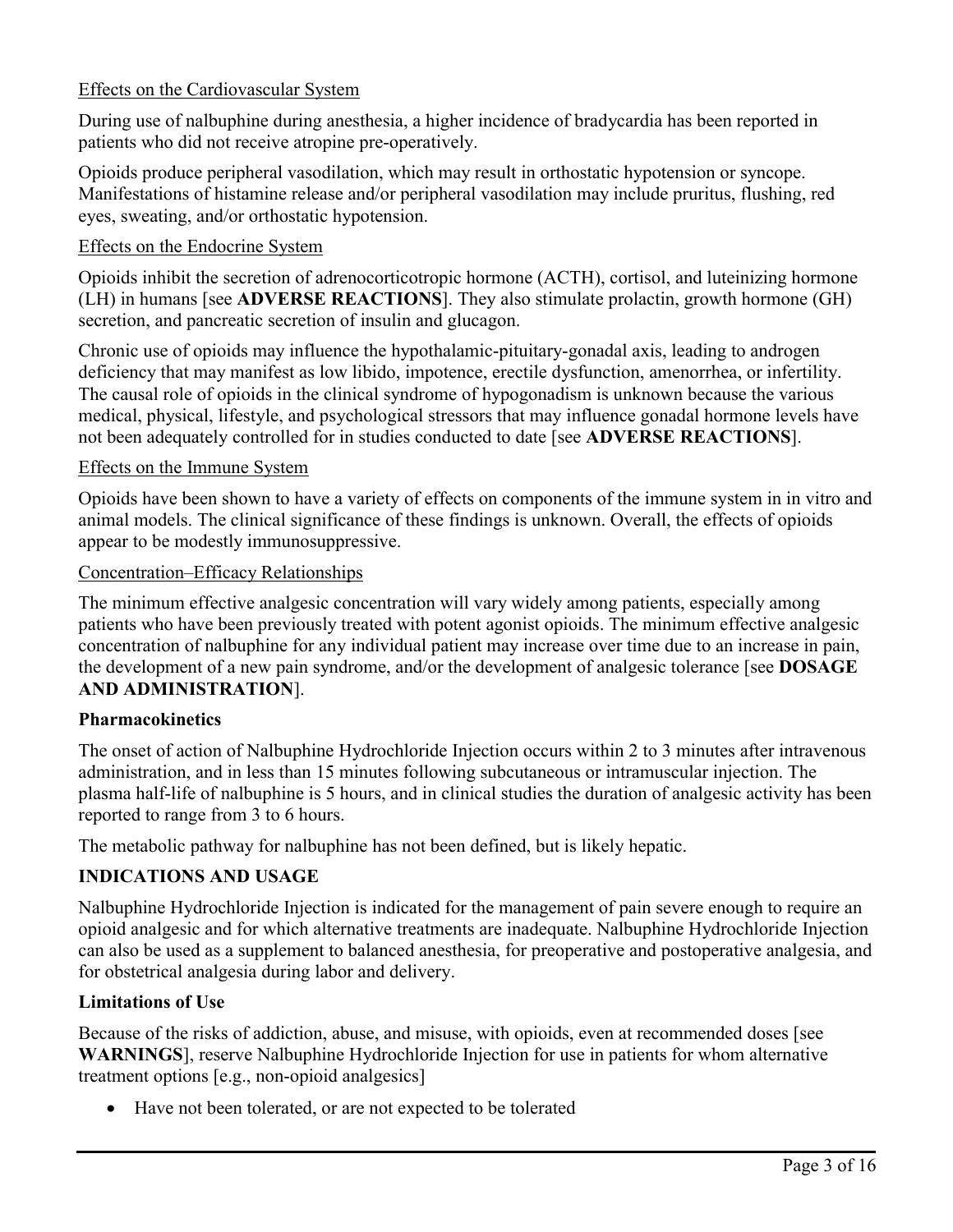## Effects on the Cardiovascular System

During use of nalbuphine during anesthesia, a higher incidence of bradycardia has been reported in patients who did not receive atropine pre-operatively.

Opioids produce peripheral vasodilation, which may result in orthostatic hypotension or syncope. Manifestations of histamine release and/or peripheral vasodilation may include pruritus, flushing, red eyes, sweating, and/or orthostatic hypotension.

### Effects on the Endocrine System

Opioids inhibit the secretion of adrenocorticotropic hormone (ACTH), cortisol, and luteinizing hormone (LH) in humans [see **ADVERSE REACTIONS**]. They also stimulate prolactin, growth hormone (GH) secretion, and pancreatic secretion of insulin and glucagon.

Chronic use of opioids may influence the hypothalamic-pituitary-gonadal axis, leading to androgen deficiency that may manifest as low libido, impotence, erectile dysfunction, amenorrhea, or infertility. The causal role of opioids in the clinical syndrome of hypogonadism is unknown because the various medical, physical, lifestyle, and psychological stressors that may influence gonadal hormone levels have not been adequately controlled for in studies conducted to date [see **ADVERSE REACTIONS**].

#### Effects on the Immune System

Opioids have been shown to have a variety of effects on components of the immune system in in vitro and animal models. The clinical significance of these findings is unknown. Overall, the effects of opioids appear to be modestly immunosuppressive.

#### Concentration–Efficacy Relationships

The minimum effective analgesic concentration will vary widely among patients, especially among patients who have been previously treated with potent agonist opioids. The minimum effective analgesic concentration of nalbuphine for any individual patient may increase over time due to an increase in pain, the development of a new pain syndrome, and/or the development of analgesic tolerance [see **DOSAGE AND ADMINISTRATION**].

#### **Pharmacokinetics**

The onset of action of Nalbuphine Hydrochloride Injection occurs within 2 to 3 minutes after intravenous administration, and in less than 15 minutes following subcutaneous or intramuscular injection. The plasma half-life of nalbuphine is 5 hours, and in clinical studies the duration of analgesic activity has been reported to range from 3 to 6 hours.

The metabolic pathway for nalbuphine has not been defined, but is likely hepatic.

### **INDICATIONS AND USAGE**

Nalbuphine Hydrochloride Injection is indicated for the management of pain severe enough to require an opioid analgesic and for which alternative treatments are inadequate. Nalbuphine Hydrochloride Injection can also be used as a supplement to balanced anesthesia, for preoperative and postoperative analgesia, and for obstetrical analgesia during labor and delivery.

### **Limitations of Use**

Because of the risks of addiction, abuse, and misuse, with opioids, even at recommended doses [see **WARNINGS**], reserve Nalbuphine Hydrochloride Injection for use in patients for whom alternative treatment options [e.g., non-opioid analgesics]

Have not been tolerated, or are not expected to be tolerated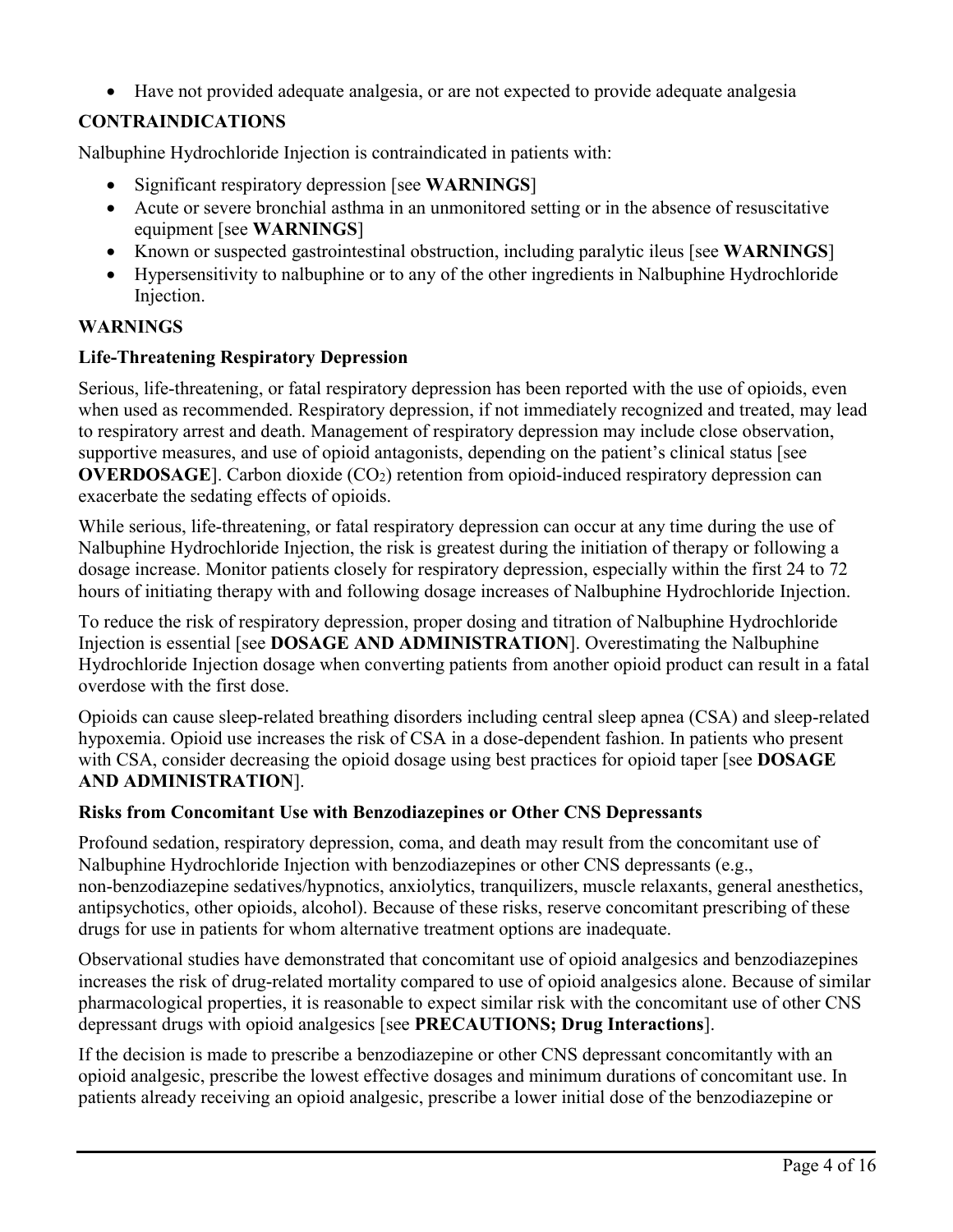Have not provided adequate analgesia, or are not expected to provide adequate analgesia

# **CONTRAINDICATIONS**

Nalbuphine Hydrochloride Injection is contraindicated in patients with:

- Significant respiratory depression [see **WARNINGS**]
- Acute or severe bronchial asthma in an unmonitored setting or in the absence of resuscitative equipment [see **WARNINGS**]
- Known or suspected gastrointestinal obstruction, including paralytic ileus [see **WARNINGS**]
- Hypersensitivity to nalbuphine or to any of the other ingredients in Nalbuphine Hydrochloride Injection.

# **WARNINGS**

# **Life-Threatening Respiratory Depression**

Serious, life-threatening, or fatal respiratory depression has been reported with the use of opioids, even when used as recommended. Respiratory depression, if not immediately recognized and treated, may lead to respiratory arrest and death. Management of respiratory depression may include close observation, supportive measures, and use of opioid antagonists, depending on the patient's clinical status [see **OVERDOSAGE**]. Carbon dioxide (CO<sub>2</sub>) retention from opioid-induced respiratory depression can exacerbate the sedating effects of opioids.

While serious, life-threatening, or fatal respiratory depression can occur at any time during the use of Nalbuphine Hydrochloride Injection, the risk is greatest during the initiation of therapy or following a dosage increase. Monitor patients closely for respiratory depression, especially within the first 24 to 72 hours of initiating therapy with and following dosage increases of Nalbuphine Hydrochloride Injection.

To reduce the risk of respiratory depression, proper dosing and titration of Nalbuphine Hydrochloride Injection is essential [see **DOSAGE AND ADMINISTRATION**]. Overestimating the Nalbuphine Hydrochloride Injection dosage when converting patients from another opioid product can result in a fatal overdose with the first dose.

Opioids can cause sleep-related breathing disorders including central sleep apnea (CSA) and sleep-related hypoxemia. Opioid use increases the risk of CSA in a dose-dependent fashion. In patients who present with CSA, consider decreasing the opioid dosage using best practices for opioid taper [see **DOSAGE AND ADMINISTRATION**].

# **Risks from Concomitant Use with Benzodiazepines or Other CNS Depressants**

Profound sedation, respiratory depression, coma, and death may result from the concomitant use of Nalbuphine Hydrochloride Injection with benzodiazepines or other CNS depressants (e.g., non-benzodiazepine sedatives/hypnotics, anxiolytics, tranquilizers, muscle relaxants, general anesthetics, antipsychotics, other opioids, alcohol). Because of these risks, reserve concomitant prescribing of these drugs for use in patients for whom alternative treatment options are inadequate.

Observational studies have demonstrated that concomitant use of opioid analgesics and benzodiazepines increases the risk of drug-related mortality compared to use of opioid analgesics alone. Because of similar pharmacological properties, it is reasonable to expect similar risk with the concomitant use of other CNS depressant drugs with opioid analgesics [see **PRECAUTIONS; Drug Interactions**].

If the decision is made to prescribe a benzodiazepine or other CNS depressant concomitantly with an opioid analgesic, prescribe the lowest effective dosages and minimum durations of concomitant use. In patients already receiving an opioid analgesic, prescribe a lower initial dose of the benzodiazepine or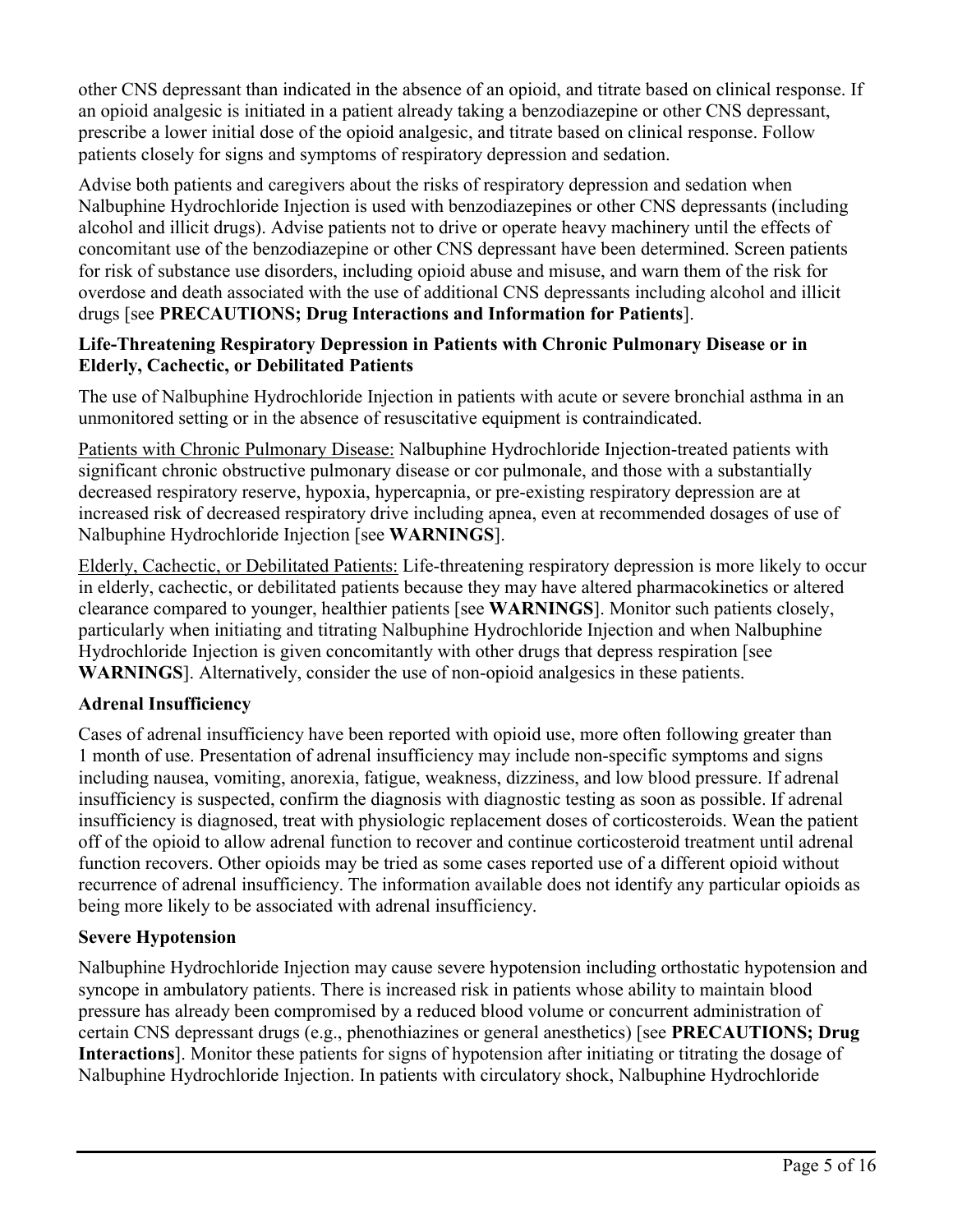other CNS depressant than indicated in the absence of an opioid, and titrate based on clinical response. If an opioid analgesic is initiated in a patient already taking a benzodiazepine or other CNS depressant, prescribe a lower initial dose of the opioid analgesic, and titrate based on clinical response. Follow patients closely for signs and symptoms of respiratory depression and sedation.

Advise both patients and caregivers about the risks of respiratory depression and sedation when Nalbuphine Hydrochloride Injection is used with benzodiazepines or other CNS depressants (including alcohol and illicit drugs). Advise patients not to drive or operate heavy machinery until the effects of concomitant use of the benzodiazepine or other CNS depressant have been determined. Screen patients for risk of substance use disorders, including opioid abuse and misuse, and warn them of the risk for overdose and death associated with the use of additional CNS depressants including alcohol and illicit drugs [see **PRECAUTIONS; Drug Interactions and Information for Patients**].

## **Life-Threatening Respiratory Depression in Patients with Chronic Pulmonary Disease or in Elderly, Cachectic, or Debilitated Patients**

The use of Nalbuphine Hydrochloride Injection in patients with acute or severe bronchial asthma in an unmonitored setting or in the absence of resuscitative equipment is contraindicated.

Patients with Chronic Pulmonary Disease: Nalbuphine Hydrochloride Injection-treated patients with significant chronic obstructive pulmonary disease or cor pulmonale, and those with a substantially decreased respiratory reserve, hypoxia, hypercapnia, or pre-existing respiratory depression are at increased risk of decreased respiratory drive including apnea, even at recommended dosages of use of Nalbuphine Hydrochloride Injection [see **WARNINGS**].

Elderly, Cachectic, or Debilitated Patients: Life-threatening respiratory depression is more likely to occur in elderly, cachectic, or debilitated patients because they may have altered pharmacokinetics or altered clearance compared to younger, healthier patients [see **WARNINGS**]. Monitor such patients closely, particularly when initiating and titrating Nalbuphine Hydrochloride Injection and when Nalbuphine Hydrochloride Injection is given concomitantly with other drugs that depress respiration [see **WARNINGS**]. Alternatively, consider the use of non-opioid analgesics in these patients.

# **Adrenal Insufficiency**

Cases of adrenal insufficiency have been reported with opioid use, more often following greater than 1 month of use. Presentation of adrenal insufficiency may include non-specific symptoms and signs including nausea, vomiting, anorexia, fatigue, weakness, dizziness, and low blood pressure. If adrenal insufficiency is suspected, confirm the diagnosis with diagnostic testing as soon as possible. If adrenal insufficiency is diagnosed, treat with physiologic replacement doses of corticosteroids. Wean the patient off of the opioid to allow adrenal function to recover and continue corticosteroid treatment until adrenal function recovers. Other opioids may be tried as some cases reported use of a different opioid without recurrence of adrenal insufficiency. The information available does not identify any particular opioids as being more likely to be associated with adrenal insufficiency.

# **Severe Hypotension**

Nalbuphine Hydrochloride Injection may cause severe hypotension including orthostatic hypotension and syncope in ambulatory patients. There is increased risk in patients whose ability to maintain blood pressure has already been compromised by a reduced blood volume or concurrent administration of certain CNS depressant drugs (e.g., phenothiazines or general anesthetics) [see **PRECAUTIONS; Drug Interactions**]. Monitor these patients for signs of hypotension after initiating or titrating the dosage of Nalbuphine Hydrochloride Injection. In patients with circulatory shock, Nalbuphine Hydrochloride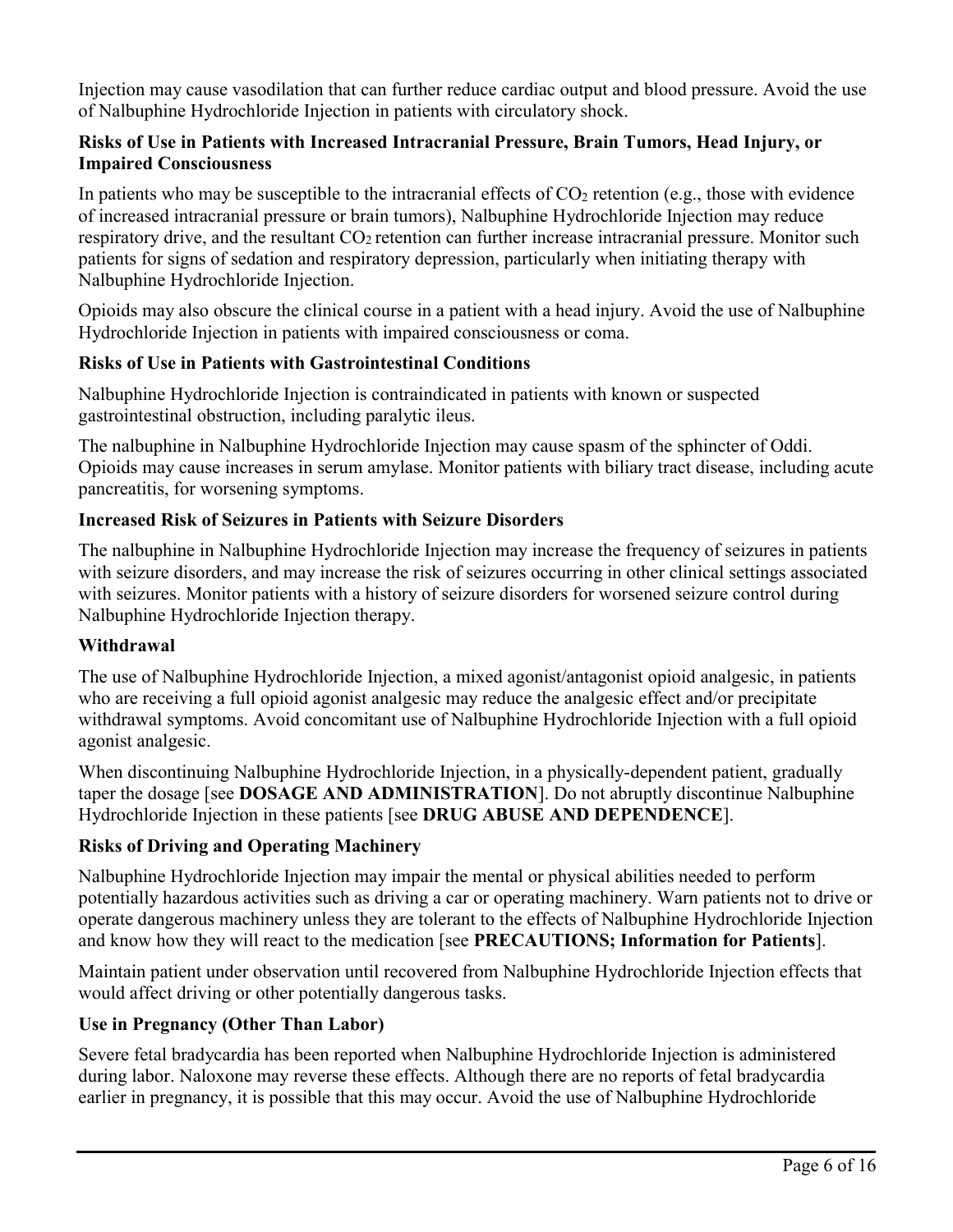Injection may cause vasodilation that can further reduce cardiac output and blood pressure. Avoid the use of Nalbuphine Hydrochloride Injection in patients with circulatory shock.

## **Risks of Use in Patients with Increased Intracranial Pressure, Brain Tumors, Head Injury, or Impaired Consciousness**

In patients who may be susceptible to the intracranial effects of  $CO<sub>2</sub>$  retention (e.g., those with evidence of increased intracranial pressure or brain tumors), Nalbuphine Hydrochloride Injection may reduce respiratory drive, and the resultant  $CO<sub>2</sub>$  retention can further increase intracranial pressure. Monitor such patients for signs of sedation and respiratory depression, particularly when initiating therapy with Nalbuphine Hydrochloride Injection.

Opioids may also obscure the clinical course in a patient with a head injury. Avoid the use of Nalbuphine Hydrochloride Injection in patients with impaired consciousness or coma.

# **Risks of Use in Patients with Gastrointestinal Conditions**

Nalbuphine Hydrochloride Injection is contraindicated in patients with known or suspected gastrointestinal obstruction, including paralytic ileus.

The nalbuphine in Nalbuphine Hydrochloride Injection may cause spasm of the sphincter of Oddi. Opioids may cause increases in serum amylase. Monitor patients with biliary tract disease, including acute pancreatitis, for worsening symptoms.

# **Increased Risk of Seizures in Patients with Seizure Disorders**

The nalbuphine in Nalbuphine Hydrochloride Injection may increase the frequency of seizures in patients with seizure disorders, and may increase the risk of seizures occurring in other clinical settings associated with seizures. Monitor patients with a history of seizure disorders for worsened seizure control during Nalbuphine Hydrochloride Injection therapy.

# **Withdrawal**

The use of Nalbuphine Hydrochloride Injection, a mixed agonist/antagonist opioid analgesic, in patients who are receiving a full opioid agonist analgesic may reduce the analgesic effect and/or precipitate withdrawal symptoms. Avoid concomitant use of Nalbuphine Hydrochloride Injection with a full opioid agonist analgesic.

When discontinuing Nalbuphine Hydrochloride Injection, in a physically-dependent patient, gradually taper the dosage [see **DOSAGE AND ADMINISTRATION**]. Do not abruptly discontinue Nalbuphine Hydrochloride Injection in these patients [see **DRUG ABUSE AND DEPENDENCE**].

# **Risks of Driving and Operating Machinery**

Nalbuphine Hydrochloride Injection may impair the mental or physical abilities needed to perform potentially hazardous activities such as driving a car or operating machinery. Warn patients not to drive or operate dangerous machinery unless they are tolerant to the effects of Nalbuphine Hydrochloride Injection and know how they will react to the medication [see **PRECAUTIONS; Information for Patients**].

Maintain patient under observation until recovered from Nalbuphine Hydrochloride Injection effects that would affect driving or other potentially dangerous tasks.

# **Use in Pregnancy (Other Than Labor)**

Severe fetal bradycardia has been reported when Nalbuphine Hydrochloride Injection is administered during labor. Naloxone may reverse these effects. Although there are no reports of fetal bradycardia earlier in pregnancy, it is possible that this may occur. Avoid the use of Nalbuphine Hydrochloride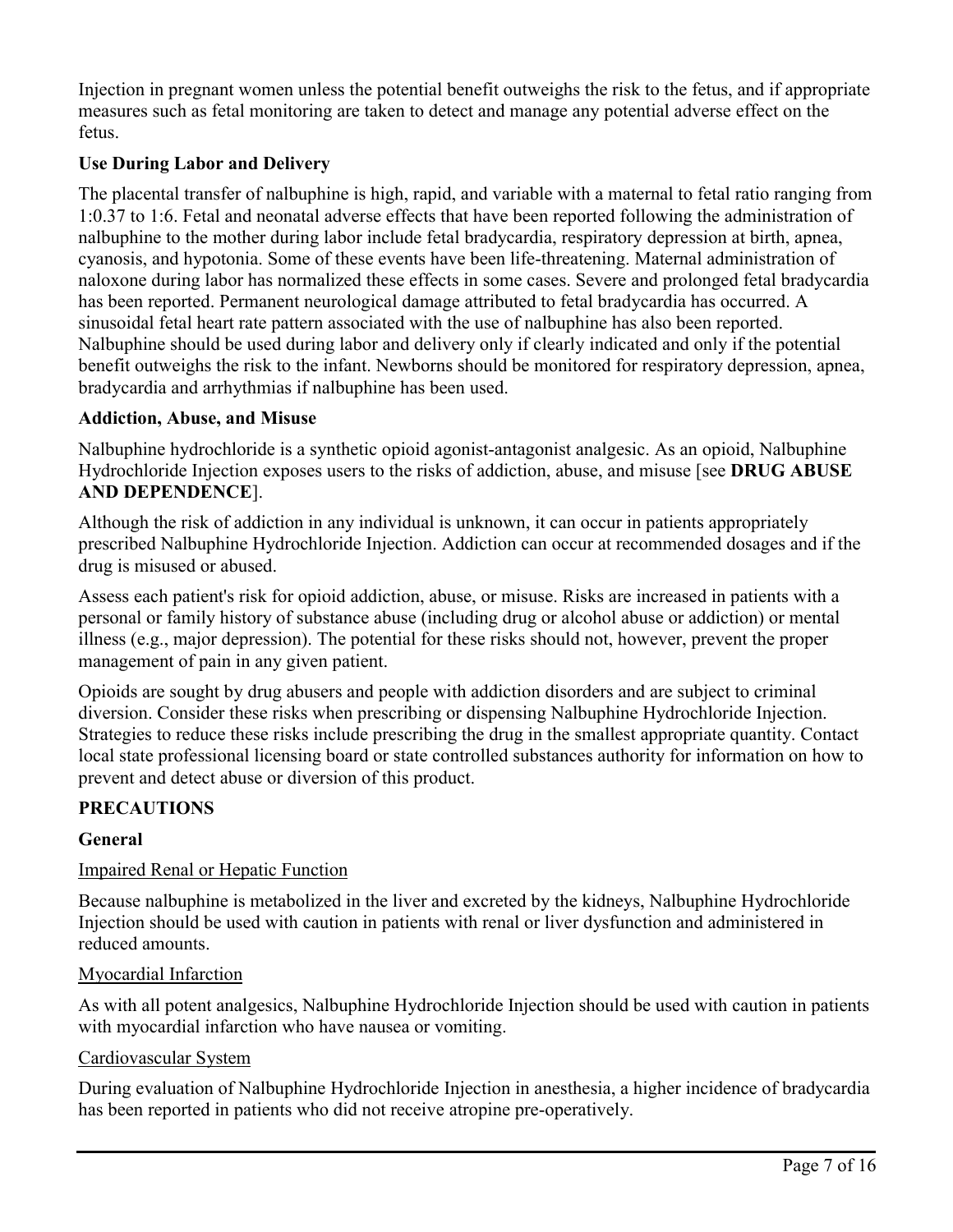Injection in pregnant women unless the potential benefit outweighs the risk to the fetus, and if appropriate measures such as fetal monitoring are taken to detect and manage any potential adverse effect on the fetus.

# **Use During Labor and Delivery**

The placental transfer of nalbuphine is high, rapid, and variable with a maternal to fetal ratio ranging from 1:0.37 to 1:6. Fetal and neonatal adverse effects that have been reported following the administration of nalbuphine to the mother during labor include fetal bradycardia, respiratory depression at birth, apnea, cyanosis, and hypotonia. Some of these events have been life-threatening. Maternal administration of naloxone during labor has normalized these effects in some cases. Severe and prolonged fetal bradycardia has been reported. Permanent neurological damage attributed to fetal bradycardia has occurred. A sinusoidal fetal heart rate pattern associated with the use of nalbuphine has also been reported. Nalbuphine should be used during labor and delivery only if clearly indicated and only if the potential benefit outweighs the risk to the infant. Newborns should be monitored for respiratory depression, apnea, bradycardia and arrhythmias if nalbuphine has been used.

## **Addiction, Abuse, and Misuse**

Nalbuphine hydrochloride is a synthetic opioid agonist-antagonist analgesic. As an opioid, Nalbuphine Hydrochloride Injection exposes users to the risks of addiction, abuse, and misuse [see **DRUG ABUSE AND DEPENDENCE**].

Although the risk of addiction in any individual is unknown, it can occur in patients appropriately prescribed Nalbuphine Hydrochloride Injection. Addiction can occur at recommended dosages and if the drug is misused or abused.

Assess each patient's risk for opioid addiction, abuse, or misuse. Risks are increased in patients with a personal or family history of substance abuse (including drug or alcohol abuse or addiction) or mental illness (e.g., major depression). The potential for these risks should not, however, prevent the proper management of pain in any given patient.

Opioids are sought by drug abusers and people with addiction disorders and are subject to criminal diversion. Consider these risks when prescribing or dispensing Nalbuphine Hydrochloride Injection. Strategies to reduce these risks include prescribing the drug in the smallest appropriate quantity. Contact local state professional licensing board or state controlled substances authority for information on how to prevent and detect abuse or diversion of this product.

# **PRECAUTIONS**

### **General**

### Impaired Renal or Hepatic Function

Because nalbuphine is metabolized in the liver and excreted by the kidneys, Nalbuphine Hydrochloride Injection should be used with caution in patients with renal or liver dysfunction and administered in reduced amounts.

### Myocardial Infarction

As with all potent analgesics, Nalbuphine Hydrochloride Injection should be used with caution in patients with myocardial infarction who have nausea or vomiting.

### Cardiovascular System

During evaluation of Nalbuphine Hydrochloride Injection in anesthesia, a higher incidence of bradycardia has been reported in patients who did not receive atropine pre-operatively.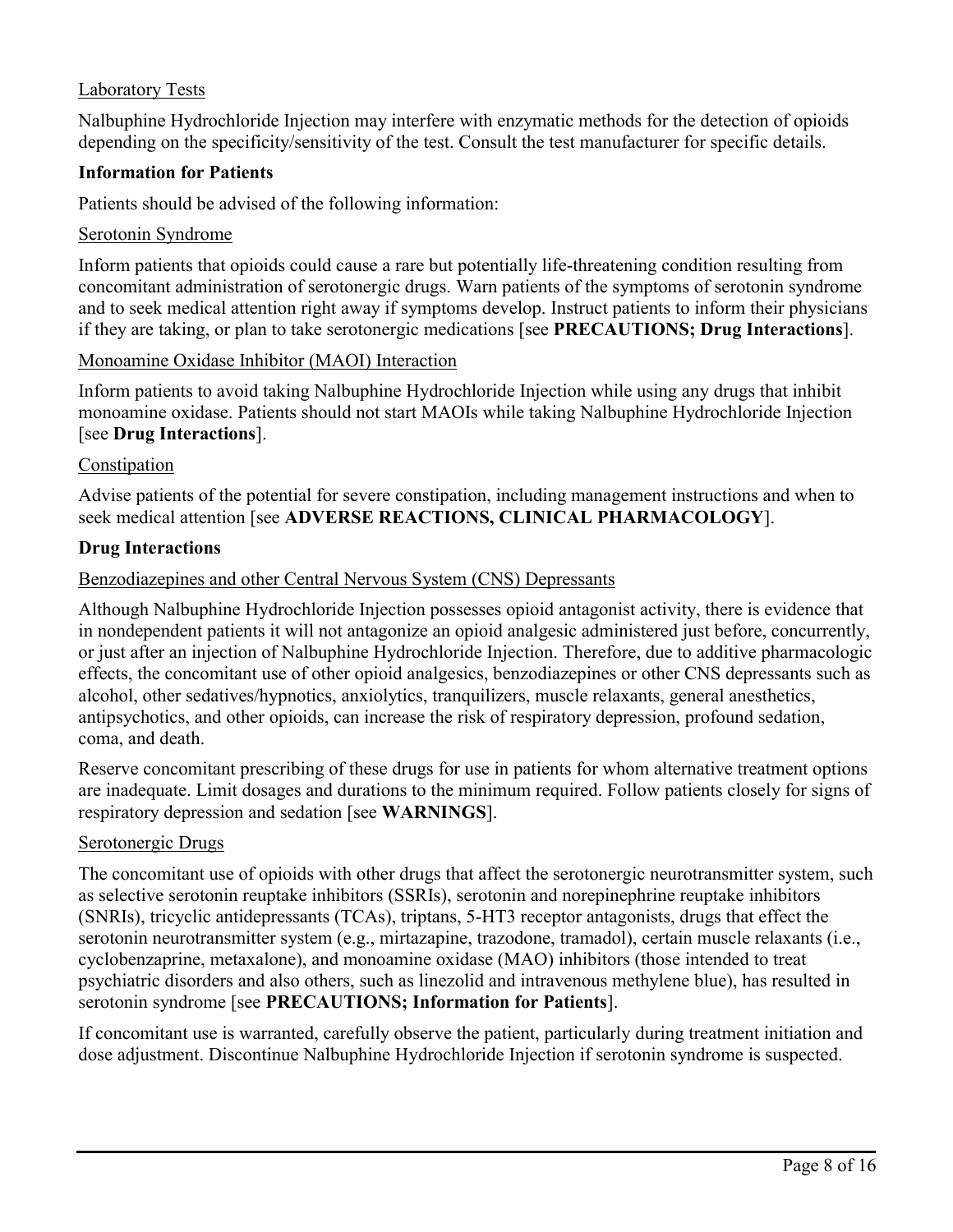## Laboratory Tests

Nalbuphine Hydrochloride Injection may interfere with enzymatic methods for the detection of opioids depending on the specificity/sensitivity of the test. Consult the test manufacturer for specific details.

### **Information for Patients**

Patients should be advised of the following information:

#### Serotonin Syndrome

Inform patients that opioids could cause a rare but potentially life-threatening condition resulting from concomitant administration of serotonergic drugs. Warn patients of the symptoms of serotonin syndrome and to seek medical attention right away if symptoms develop. Instruct patients to inform their physicians if they are taking, or plan to take serotonergic medications [see **PRECAUTIONS; Drug Interactions**].

#### Monoamine Oxidase Inhibitor (MAOI) Interaction

Inform patients to avoid taking Nalbuphine Hydrochloride Injection while using any drugs that inhibit monoamine oxidase. Patients should not start MAOIs while taking Nalbuphine Hydrochloride Injection [see **Drug Interactions**].

#### **Constipation**

Advise patients of the potential for severe constipation, including management instructions and when to seek medical attention [see **ADVERSE REACTIONS, CLINICAL PHARMACOLOGY**].

### **Drug Interactions**

#### Benzodiazepines and other Central Nervous System (CNS) Depressants

Although Nalbuphine Hydrochloride Injection possesses opioid antagonist activity, there is evidence that in nondependent patients it will not antagonize an opioid analgesic administered just before, concurrently, or just after an injection of Nalbuphine Hydrochloride Injection. Therefore, due to additive pharmacologic effects, the concomitant use of other opioid analgesics, benzodiazepines or other CNS depressants such as alcohol, other sedatives/hypnotics, anxiolytics, tranquilizers, muscle relaxants, general anesthetics, antipsychotics, and other opioids, can increase the risk of respiratory depression, profound sedation, coma, and death.

Reserve concomitant prescribing of these drugs for use in patients for whom alternative treatment options are inadequate. Limit dosages and durations to the minimum required. Follow patients closely for signs of respiratory depression and sedation [see **WARNINGS**].

#### Serotonergic Drugs

The concomitant use of opioids with other drugs that affect the serotonergic neurotransmitter system, such as selective serotonin reuptake inhibitors (SSRIs), serotonin and norepinephrine reuptake inhibitors (SNRIs), tricyclic antidepressants (TCAs), triptans, 5-HT3 receptor antagonists, drugs that effect the serotonin neurotransmitter system (e.g., mirtazapine, trazodone, tramadol), certain muscle relaxants (i.e., cyclobenzaprine, metaxalone), and monoamine oxidase (MAO) inhibitors (those intended to treat psychiatric disorders and also others, such as linezolid and intravenous methylene blue), has resulted in serotonin syndrome [see **PRECAUTIONS; Information for Patients**].

If concomitant use is warranted, carefully observe the patient, particularly during treatment initiation and dose adjustment. Discontinue Nalbuphine Hydrochloride Injection if serotonin syndrome is suspected.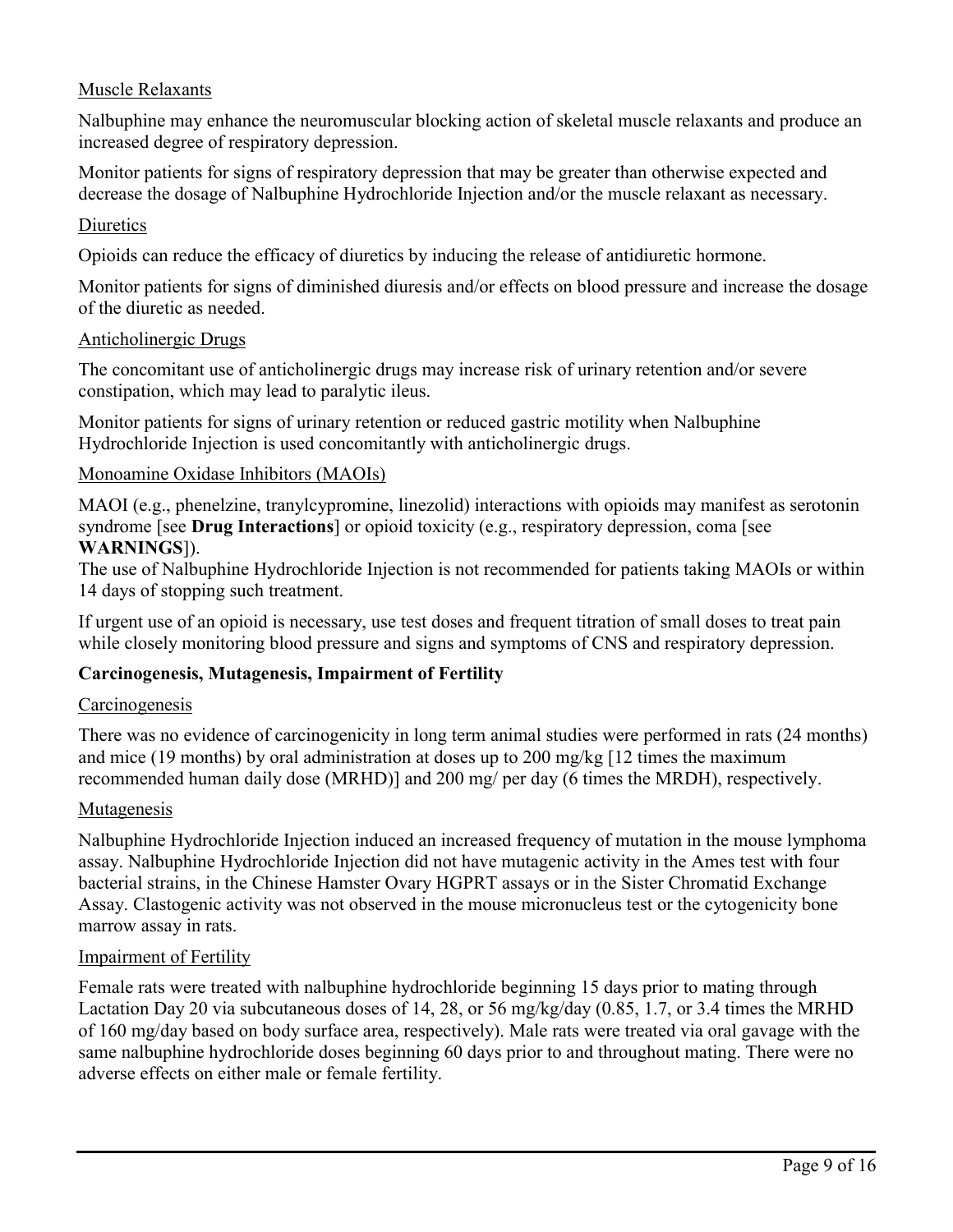## Muscle Relaxants

Nalbuphine may enhance the neuromuscular blocking action of skeletal muscle relaxants and produce an increased degree of respiratory depression.

Monitor patients for signs of respiratory depression that may be greater than otherwise expected and decrease the dosage of Nalbuphine Hydrochloride Injection and/or the muscle relaxant as necessary.

#### **Diuretics**

Opioids can reduce the efficacy of diuretics by inducing the release of antidiuretic hormone.

Monitor patients for signs of diminished diuresis and/or effects on blood pressure and increase the dosage of the diuretic as needed.

#### Anticholinergic Drugs

The concomitant use of anticholinergic drugs may increase risk of urinary retention and/or severe constipation, which may lead to paralytic ileus.

Monitor patients for signs of urinary retention or reduced gastric motility when Nalbuphine Hydrochloride Injection is used concomitantly with anticholinergic drugs.

#### Monoamine Oxidase Inhibitors (MAOIs)

MAOI (e.g., phenelzine, tranylcypromine, linezolid) interactions with opioids may manifest as serotonin syndrome [see **Drug Interactions**] or opioid toxicity (e.g., respiratory depression, coma [see **WARNINGS**]).

The use of Nalbuphine Hydrochloride Injection is not recommended for patients taking MAOIs or within 14 days of stopping such treatment.

If urgent use of an opioid is necessary, use test doses and frequent titration of small doses to treat pain while closely monitoring blood pressure and signs and symptoms of CNS and respiratory depression.

### **Carcinogenesis, Mutagenesis, Impairment of Fertility**

#### **Carcinogenesis**

There was no evidence of carcinogenicity in long term animal studies were performed in rats (24 months) and mice (19 months) by oral administration at doses up to 200 mg/kg [12 times the maximum recommended human daily dose (MRHD)] and 200 mg/ per day (6 times the MRDH), respectively.

#### Mutagenesis

Nalbuphine Hydrochloride Injection induced an increased frequency of mutation in the mouse lymphoma assay. Nalbuphine Hydrochloride Injection did not have mutagenic activity in the Ames test with four bacterial strains, in the Chinese Hamster Ovary HGPRT assays or in the Sister Chromatid Exchange Assay. Clastogenic activity was not observed in the mouse micronucleus test or the cytogenicity bone marrow assay in rats.

#### Impairment of Fertility

Female rats were treated with nalbuphine hydrochloride beginning 15 days prior to mating through Lactation Day 20 via subcutaneous doses of 14, 28, or 56 mg/kg/day (0.85, 1.7, or 3.4 times the MRHD of 160 mg/day based on body surface area, respectively). Male rats were treated via oral gavage with the same nalbuphine hydrochloride doses beginning 60 days prior to and throughout mating. There were no adverse effects on either male or female fertility.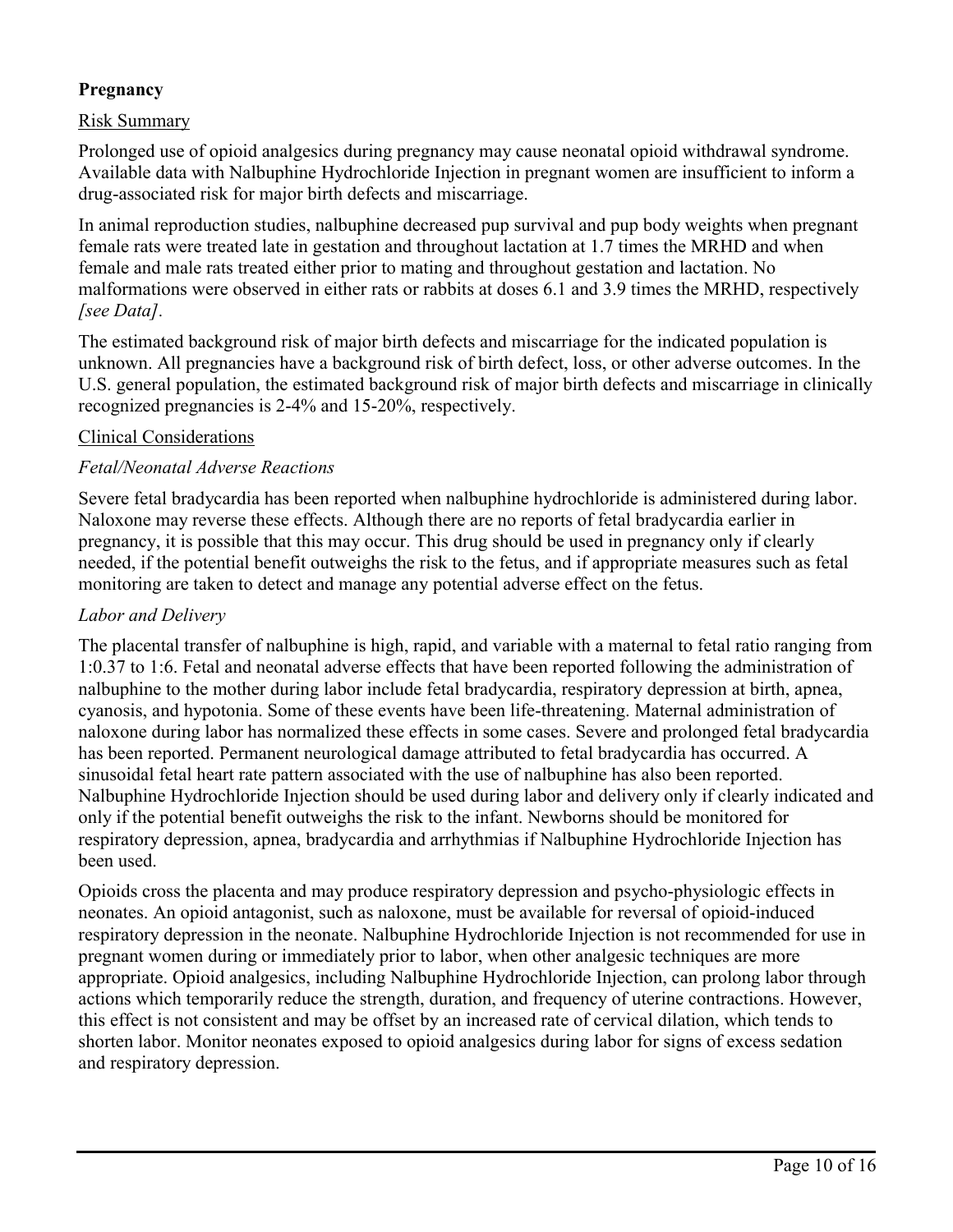# **Pregnancy**

### Risk Summary

Prolonged use of opioid analgesics during pregnancy may cause neonatal opioid withdrawal syndrome. Available data with Nalbuphine Hydrochloride Injection in pregnant women are insufficient to inform a drug-associated risk for major birth defects and miscarriage.

In animal reproduction studies, nalbuphine decreased pup survival and pup body weights when pregnant female rats were treated late in gestation and throughout lactation at 1.7 times the MRHD and when female and male rats treated either prior to mating and throughout gestation and lactation. No malformations were observed in either rats or rabbits at doses 6.1 and 3.9 times the MRHD, respectively *[see Data].*

The estimated background risk of major birth defects and miscarriage for the indicated population is unknown. All pregnancies have a background risk of birth defect, loss, or other adverse outcomes. In the U.S. general population, the estimated background risk of major birth defects and miscarriage in clinically recognized pregnancies is 2-4% and 15-20%, respectively.

#### Clinical Considerations

#### *Fetal/Neonatal Adverse Reactions*

Severe fetal bradycardia has been reported when nalbuphine hydrochloride is administered during labor. Naloxone may reverse these effects. Although there are no reports of fetal bradycardia earlier in pregnancy, it is possible that this may occur. This drug should be used in pregnancy only if clearly needed, if the potential benefit outweighs the risk to the fetus, and if appropriate measures such as fetal monitoring are taken to detect and manage any potential adverse effect on the fetus.

#### *Labor and Delivery*

The placental transfer of nalbuphine is high, rapid, and variable with a maternal to fetal ratio ranging from 1:0.37 to 1:6. Fetal and neonatal adverse effects that have been reported following the administration of nalbuphine to the mother during labor include fetal bradycardia, respiratory depression at birth, apnea, cyanosis, and hypotonia. Some of these events have been life-threatening. Maternal administration of naloxone during labor has normalized these effects in some cases. Severe and prolonged fetal bradycardia has been reported. Permanent neurological damage attributed to fetal bradycardia has occurred. A sinusoidal fetal heart rate pattern associated with the use of nalbuphine has also been reported. Nalbuphine Hydrochloride Injection should be used during labor and delivery only if clearly indicated and only if the potential benefit outweighs the risk to the infant. Newborns should be monitored for respiratory depression, apnea, bradycardia and arrhythmias if Nalbuphine Hydrochloride Injection has been used.

Opioids cross the placenta and may produce respiratory depression and psycho-physiologic effects in neonates. An opioid antagonist, such as naloxone, must be available for reversal of opioid-induced respiratory depression in the neonate. Nalbuphine Hydrochloride Injection is not recommended for use in pregnant women during or immediately prior to labor, when other analgesic techniques are more appropriate. Opioid analgesics, including Nalbuphine Hydrochloride Injection, can prolong labor through actions which temporarily reduce the strength, duration, and frequency of uterine contractions. However, this effect is not consistent and may be offset by an increased rate of cervical dilation, which tends to shorten labor. Monitor neonates exposed to opioid analgesics during labor for signs of excess sedation and respiratory depression.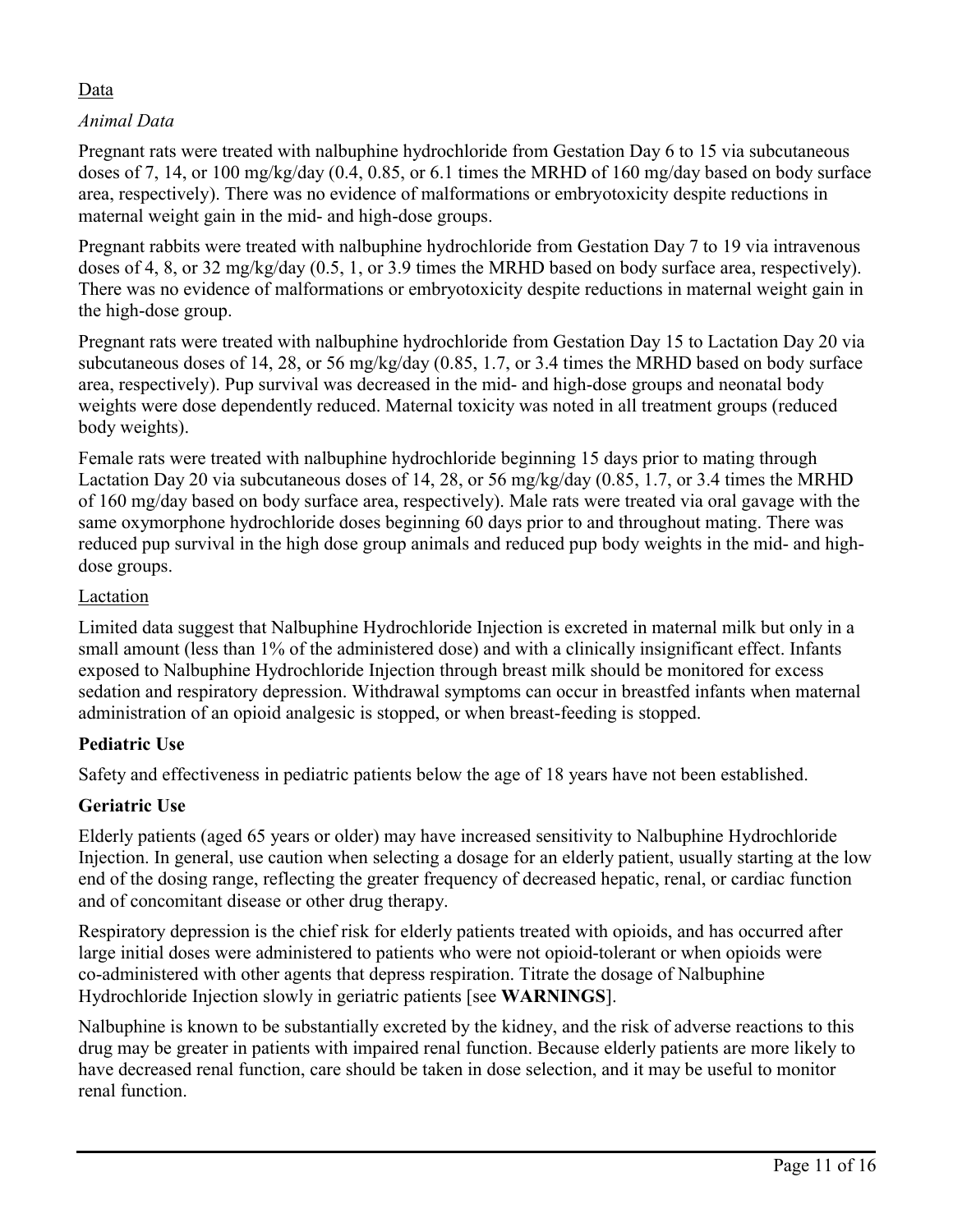# Data

# *Animal Data*

Pregnant rats were treated with nalbuphine hydrochloride from Gestation Day 6 to 15 via subcutaneous doses of 7, 14, or 100 mg/kg/day (0.4, 0.85, or 6.1 times the MRHD of 160 mg/day based on body surface area, respectively). There was no evidence of malformations or embryotoxicity despite reductions in maternal weight gain in the mid- and high-dose groups.

Pregnant rabbits were treated with nalbuphine hydrochloride from Gestation Day 7 to 19 via intravenous doses of 4, 8, or 32 mg/kg/day (0.5, 1, or 3.9 times the MRHD based on body surface area, respectively). There was no evidence of malformations or embryotoxicity despite reductions in maternal weight gain in the high-dose group.

Pregnant rats were treated with nalbuphine hydrochloride from Gestation Day 15 to Lactation Day 20 via subcutaneous doses of 14, 28, or 56 mg/kg/day (0.85, 1.7, or 3.4 times the MRHD based on body surface area, respectively). Pup survival was decreased in the mid- and high-dose groups and neonatal body weights were dose dependently reduced. Maternal toxicity was noted in all treatment groups (reduced body weights).

Female rats were treated with nalbuphine hydrochloride beginning 15 days prior to mating through Lactation Day 20 via subcutaneous doses of 14, 28, or 56 mg/kg/day (0.85, 1.7, or 3.4 times the MRHD of 160 mg/day based on body surface area, respectively). Male rats were treated via oral gavage with the same oxymorphone hydrochloride doses beginning 60 days prior to and throughout mating. There was reduced pup survival in the high dose group animals and reduced pup body weights in the mid- and highdose groups.

## Lactation

Limited data suggest that Nalbuphine Hydrochloride Injection is excreted in maternal milk but only in a small amount (less than 1% of the administered dose) and with a clinically insignificant effect. Infants exposed to Nalbuphine Hydrochloride Injection through breast milk should be monitored for excess sedation and respiratory depression. Withdrawal symptoms can occur in breastfed infants when maternal administration of an opioid analgesic is stopped, or when breast-feeding is stopped.

# **Pediatric Use**

Safety and effectiveness in pediatric patients below the age of 18 years have not been established.

# **Geriatric Use**

Elderly patients (aged 65 years or older) may have increased sensitivity to Nalbuphine Hydrochloride Injection. In general, use caution when selecting a dosage for an elderly patient, usually starting at the low end of the dosing range, reflecting the greater frequency of decreased hepatic, renal, or cardiac function and of concomitant disease or other drug therapy.

Respiratory depression is the chief risk for elderly patients treated with opioids, and has occurred after large initial doses were administered to patients who were not opioid-tolerant or when opioids were co-administered with other agents that depress respiration. Titrate the dosage of Nalbuphine Hydrochloride Injection slowly in geriatric patients [see **WARNINGS**].

Nalbuphine is known to be substantially excreted by the kidney, and the risk of adverse reactions to this drug may be greater in patients with impaired renal function. Because elderly patients are more likely to have decreased renal function, care should be taken in dose selection, and it may be useful to monitor renal function.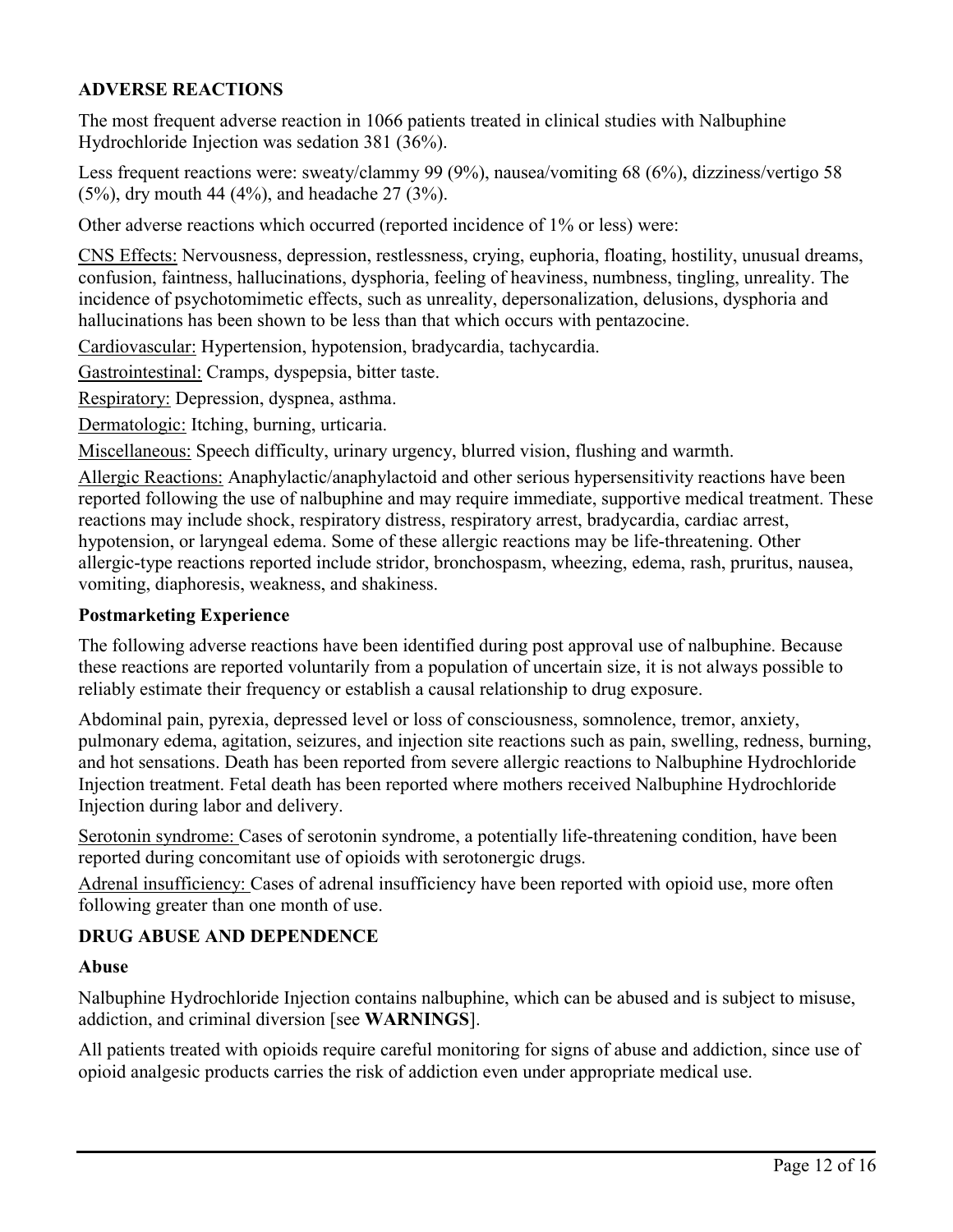## **ADVERSE REACTIONS**

The most frequent adverse reaction in 1066 patients treated in clinical studies with Nalbuphine Hydrochloride Injection was sedation 381 (36%).

Less frequent reactions were: sweaty/clammy 99 (9%), nausea/vomiting 68 (6%), dizziness/vertigo 58 (5%), dry mouth 44 (4%), and headache 27 (3%).

Other adverse reactions which occurred (reported incidence of 1% or less) were:

CNS Effects: Nervousness, depression, restlessness, crying, euphoria, floating, hostility, unusual dreams, confusion, faintness, hallucinations, dysphoria, feeling of heaviness, numbness, tingling, unreality. The incidence of psychotomimetic effects, such as unreality, depersonalization, delusions, dysphoria and hallucinations has been shown to be less than that which occurs with pentazocine.

Cardiovascular: Hypertension, hypotension, bradycardia, tachycardia.

Gastrointestinal: Cramps, dyspepsia, bitter taste.

Respiratory: Depression, dyspnea, asthma.

Dermatologic: Itching, burning, urticaria.

Miscellaneous: Speech difficulty, urinary urgency, blurred vision, flushing and warmth.

Allergic Reactions: Anaphylactic/anaphylactoid and other serious hypersensitivity reactions have been reported following the use of nalbuphine and may require immediate, supportive medical treatment. These reactions may include shock, respiratory distress, respiratory arrest, bradycardia, cardiac arrest, hypotension, or laryngeal edema. Some of these allergic reactions may be life-threatening. Other allergic-type reactions reported include stridor, bronchospasm, wheezing, edema, rash, pruritus, nausea, vomiting, diaphoresis, weakness, and shakiness.

#### **Postmarketing Experience**

The following adverse reactions have been identified during post approval use of nalbuphine. Because these reactions are reported voluntarily from a population of uncertain size, it is not always possible to reliably estimate their frequency or establish a causal relationship to drug exposure.

Abdominal pain, pyrexia, depressed level or loss of consciousness, somnolence, tremor, anxiety, pulmonary edema, agitation, seizures, and injection site reactions such as pain, swelling, redness, burning, and hot sensations. Death has been reported from severe allergic reactions to Nalbuphine Hydrochloride Injection treatment. Fetal death has been reported where mothers received Nalbuphine Hydrochloride Injection during labor and delivery.

Serotonin syndrome: Cases of serotonin syndrome, a potentially life-threatening condition, have been reported during concomitant use of opioids with serotonergic drugs.

Adrenal insufficiency: Cases of adrenal insufficiency have been reported with opioid use, more often following greater than one month of use.

#### **DRUG ABUSE AND DEPENDENCE**

#### **Abuse**

Nalbuphine Hydrochloride Injection contains nalbuphine, which can be abused and is subject to misuse, addiction, and criminal diversion [see **WARNINGS**].

All patients treated with opioids require careful monitoring for signs of abuse and addiction, since use of opioid analgesic products carries the risk of addiction even under appropriate medical use.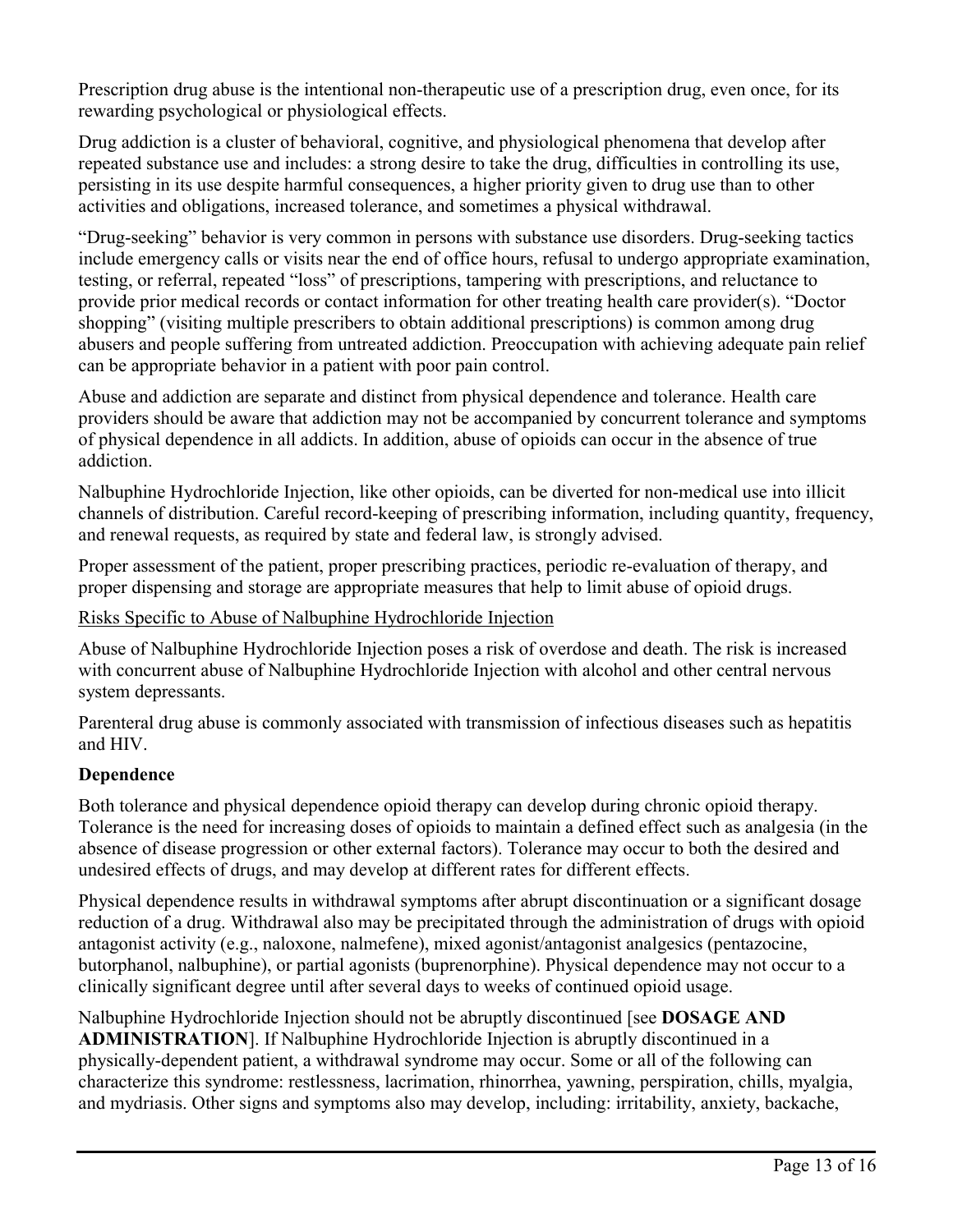Prescription drug abuse is the intentional non-therapeutic use of a prescription drug, even once, for its rewarding psychological or physiological effects.

Drug addiction is a cluster of behavioral, cognitive, and physiological phenomena that develop after repeated substance use and includes: a strong desire to take the drug, difficulties in controlling its use, persisting in its use despite harmful consequences, a higher priority given to drug use than to other activities and obligations, increased tolerance, and sometimes a physical withdrawal.

"Drug-seeking" behavior is very common in persons with substance use disorders. Drug-seeking tactics include emergency calls or visits near the end of office hours, refusal to undergo appropriate examination, testing, or referral, repeated "loss" of prescriptions, tampering with prescriptions, and reluctance to provide prior medical records or contact information for other treating health care provider(s). "Doctor shopping" (visiting multiple prescribers to obtain additional prescriptions) is common among drug abusers and people suffering from untreated addiction. Preoccupation with achieving adequate pain relief can be appropriate behavior in a patient with poor pain control.

Abuse and addiction are separate and distinct from physical dependence and tolerance. Health care providers should be aware that addiction may not be accompanied by concurrent tolerance and symptoms of physical dependence in all addicts. In addition, abuse of opioids can occur in the absence of true addiction.

Nalbuphine Hydrochloride Injection, like other opioids, can be diverted for non-medical use into illicit channels of distribution. Careful record-keeping of prescribing information, including quantity, frequency, and renewal requests, as required by state and federal law, is strongly advised.

Proper assessment of the patient, proper prescribing practices, periodic re-evaluation of therapy, and proper dispensing and storage are appropriate measures that help to limit abuse of opioid drugs.

# Risks Specific to Abuse of Nalbuphine Hydrochloride Injection

Abuse of Nalbuphine Hydrochloride Injection poses a risk of overdose and death. The risk is increased with concurrent abuse of Nalbuphine Hydrochloride Injection with alcohol and other central nervous system depressants.

Parenteral drug abuse is commonly associated with transmission of infectious diseases such as hepatitis and HIV.

### **Dependence**

Both tolerance and physical dependence opioid therapy can develop during chronic opioid therapy. Tolerance is the need for increasing doses of opioids to maintain a defined effect such as analgesia (in the absence of disease progression or other external factors). Tolerance may occur to both the desired and undesired effects of drugs, and may develop at different rates for different effects.

Physical dependence results in withdrawal symptoms after abrupt discontinuation or a significant dosage reduction of a drug. Withdrawal also may be precipitated through the administration of drugs with opioid antagonist activity (e.g., naloxone, nalmefene), mixed agonist/antagonist analgesics (pentazocine, butorphanol, nalbuphine), or partial agonists (buprenorphine). Physical dependence may not occur to a clinically significant degree until after several days to weeks of continued opioid usage.

Nalbuphine Hydrochloride Injection should not be abruptly discontinued [see **DOSAGE AND ADMINISTRATION**]. If Nalbuphine Hydrochloride Injection is abruptly discontinued in a physically-dependent patient, a withdrawal syndrome may occur. Some or all of the following can characterize this syndrome: restlessness, lacrimation, rhinorrhea, yawning, perspiration, chills, myalgia, and mydriasis. Other signs and symptoms also may develop, including: irritability, anxiety, backache,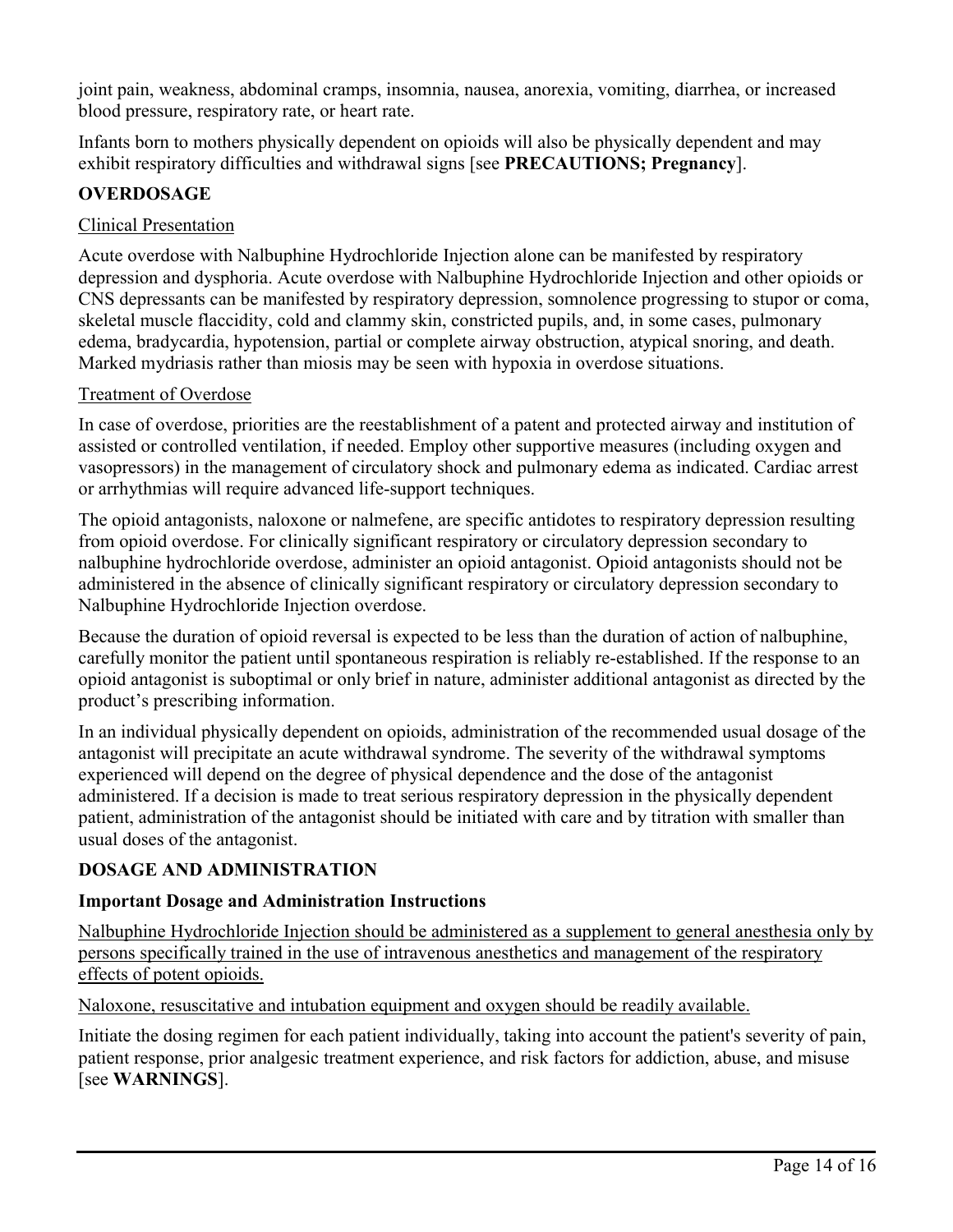joint pain, weakness, abdominal cramps, insomnia, nausea, anorexia, vomiting, diarrhea, or increased blood pressure, respiratory rate, or heart rate.

Infants born to mothers physically dependent on opioids will also be physically dependent and may exhibit respiratory difficulties and withdrawal signs [see **PRECAUTIONS; Pregnancy**].

# **OVERDOSAGE**

## Clinical Presentation

Acute overdose with Nalbuphine Hydrochloride Injection alone can be manifested by respiratory depression and dysphoria. Acute overdose with Nalbuphine Hydrochloride Injection and other opioids or CNS depressants can be manifested by respiratory depression, somnolence progressing to stupor or coma, skeletal muscle flaccidity, cold and clammy skin, constricted pupils, and, in some cases, pulmonary edema, bradycardia, hypotension, partial or complete airway obstruction, atypical snoring, and death. Marked mydriasis rather than miosis may be seen with hypoxia in overdose situations.

## Treatment of Overdose

In case of overdose, priorities are the reestablishment of a patent and protected airway and institution of assisted or controlled ventilation, if needed. Employ other supportive measures (including oxygen and vasopressors) in the management of circulatory shock and pulmonary edema as indicated. Cardiac arrest or arrhythmias will require advanced life-support techniques.

The opioid antagonists, naloxone or nalmefene, are specific antidotes to respiratory depression resulting from opioid overdose. For clinically significant respiratory or circulatory depression secondary to nalbuphine hydrochloride overdose, administer an opioid antagonist. Opioid antagonists should not be administered in the absence of clinically significant respiratory or circulatory depression secondary to Nalbuphine Hydrochloride Injection overdose.

Because the duration of opioid reversal is expected to be less than the duration of action of nalbuphine, carefully monitor the patient until spontaneous respiration is reliably re-established. If the response to an opioid antagonist is suboptimal or only brief in nature, administer additional antagonist as directed by the product's prescribing information.

In an individual physically dependent on opioids, administration of the recommended usual dosage of the antagonist will precipitate an acute withdrawal syndrome. The severity of the withdrawal symptoms experienced will depend on the degree of physical dependence and the dose of the antagonist administered. If a decision is made to treat serious respiratory depression in the physically dependent patient, administration of the antagonist should be initiated with care and by titration with smaller than usual doses of the antagonist.

# **DOSAGE AND ADMINISTRATION**

### **Important Dosage and Administration Instructions**

Nalbuphine Hydrochloride Injection should be administered as a supplement to general anesthesia only by persons specifically trained in the use of intravenous anesthetics and management of the respiratory effects of potent opioids.

Naloxone, resuscitative and intubation equipment and oxygen should be readily available.

Initiate the dosing regimen for each patient individually, taking into account the patient's severity of pain, patient response, prior analgesic treatment experience, and risk factors for addiction, abuse, and misuse [see **WARNINGS**].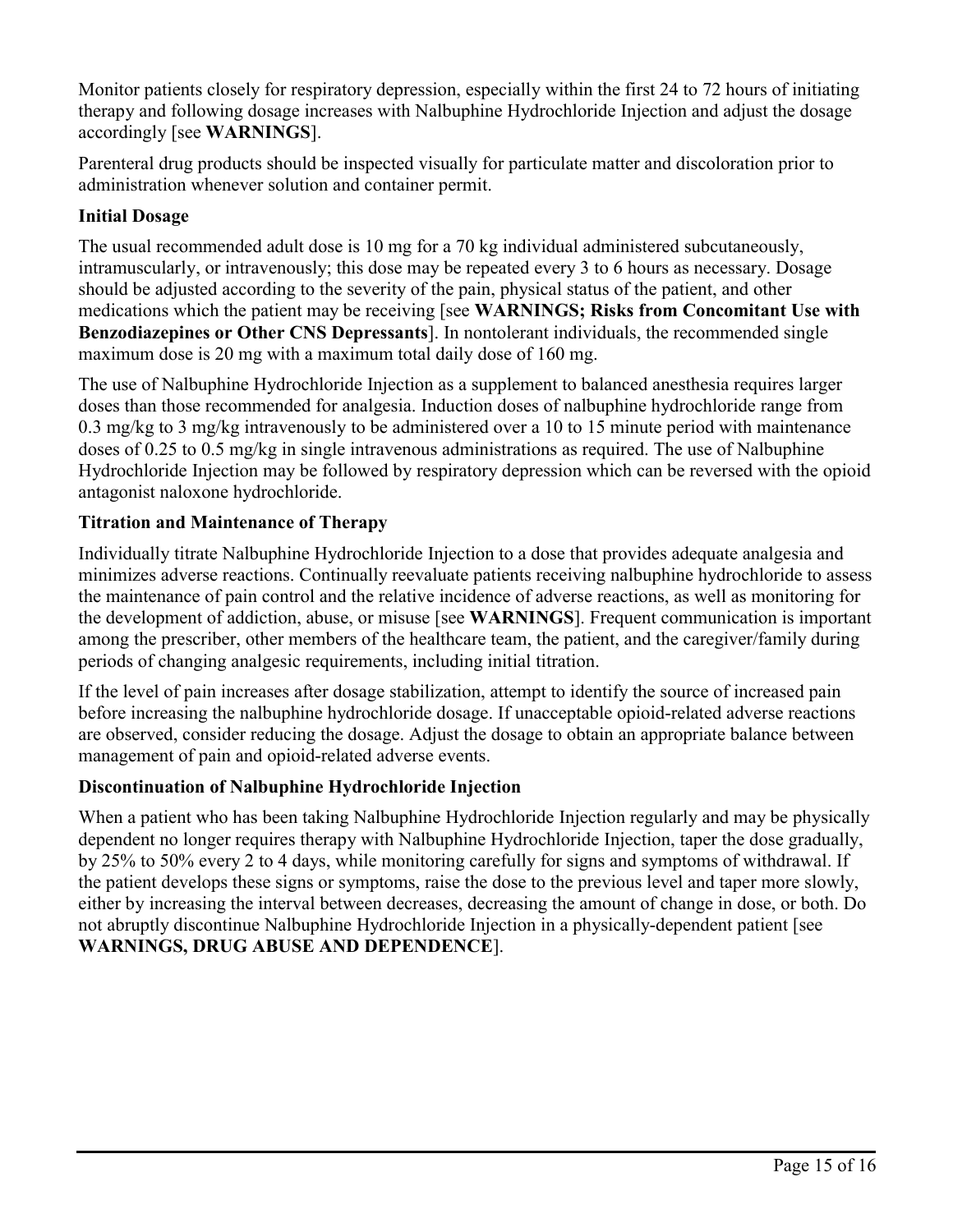Monitor patients closely for respiratory depression, especially within the first 24 to 72 hours of initiating therapy and following dosage increases with Nalbuphine Hydrochloride Injection and adjust the dosage accordingly [see **WARNINGS**].

Parenteral drug products should be inspected visually for particulate matter and discoloration prior to administration whenever solution and container permit.

# **Initial Dosage**

The usual recommended adult dose is 10 mg for a 70 kg individual administered subcutaneously, intramuscularly, or intravenously; this dose may be repeated every 3 to 6 hours as necessary. Dosage should be adjusted according to the severity of the pain, physical status of the patient, and other medications which the patient may be receiving [see **WARNINGS; Risks from Concomitant Use with Benzodiazepines or Other CNS Depressants**]. In nontolerant individuals, the recommended single maximum dose is 20 mg with a maximum total daily dose of 160 mg.

The use of Nalbuphine Hydrochloride Injection as a supplement to balanced anesthesia requires larger doses than those recommended for analgesia. Induction doses of nalbuphine hydrochloride range from 0.3 mg/kg to 3 mg/kg intravenously to be administered over a 10 to 15 minute period with maintenance doses of 0.25 to 0.5 mg/kg in single intravenous administrations as required. The use of Nalbuphine Hydrochloride Injection may be followed by respiratory depression which can be reversed with the opioid antagonist naloxone hydrochloride.

# **Titration and Maintenance of Therapy**

Individually titrate Nalbuphine Hydrochloride Injection to a dose that provides adequate analgesia and minimizes adverse reactions. Continually reevaluate patients receiving nalbuphine hydrochloride to assess the maintenance of pain control and the relative incidence of adverse reactions, as well as monitoring for the development of addiction, abuse, or misuse [see **WARNINGS**]. Frequent communication is important among the prescriber, other members of the healthcare team, the patient, and the caregiver/family during periods of changing analgesic requirements, including initial titration.

If the level of pain increases after dosage stabilization, attempt to identify the source of increased pain before increasing the nalbuphine hydrochloride dosage. If unacceptable opioid-related adverse reactions are observed, consider reducing the dosage. Adjust the dosage to obtain an appropriate balance between management of pain and opioid-related adverse events.

# **Discontinuation of Nalbuphine Hydrochloride Injection**

When a patient who has been taking Nalbuphine Hydrochloride Injection regularly and may be physically dependent no longer requires therapy with Nalbuphine Hydrochloride Injection, taper the dose gradually, by 25% to 50% every 2 to 4 days, while monitoring carefully for signs and symptoms of withdrawal. If the patient develops these signs or symptoms, raise the dose to the previous level and taper more slowly, either by increasing the interval between decreases, decreasing the amount of change in dose, or both. Do not abruptly discontinue Nalbuphine Hydrochloride Injection in a physically-dependent patient [see **WARNINGS, DRUG ABUSE AND DEPENDENCE**].